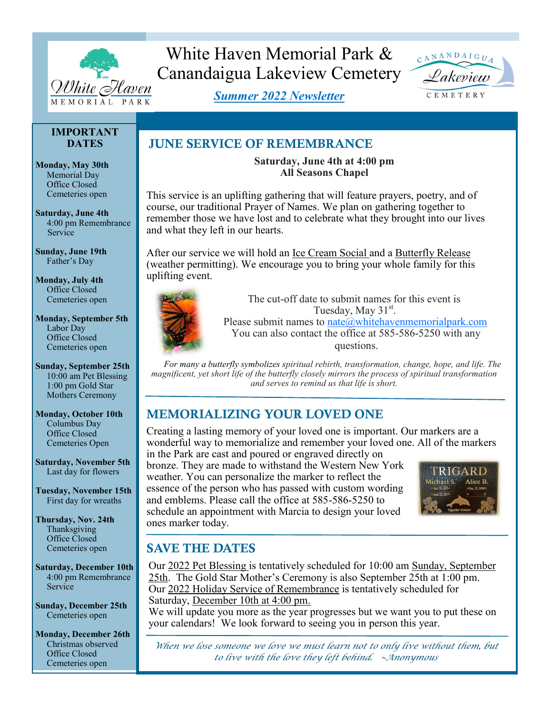

# White Haven Memorial Park & Canandaigua Lakeview Cemetery



*Summer 2022 Newsletter*

CEMETERY

## **IMPORTANT DATES**

**Monday, May 30th**  Memorial Day Office Closed Cemeteries open

**Saturday, June 4th**  4:00 pm Remembrance Service

**Sunday, June 19th** Father's Day

**Monday, July 4th** Office Closed Cemeteries open

#### **Monday, September 5th** Labor Day Office Closed Cemeteries open

**Sunday, September 25th** 10:00 am Pet Blessing 1:00 pm Gold Star Mothers Ceremony

**Monday, October 10th** Columbus Day Office Closed Cemeteries Open

**Saturday, November 5th** Last day for flowers

**Tuesday, November 15th** First day for wreaths

**Thursday, Nov. 24th** Thanksgiving Office Closed Cemeteries open

**Saturday, December 10th** 4:00 pm Remembrance Service

**Sunday, December 25th** Cemeteries open

**Monday, December 26th** Christmas observed Office Closed Cemeteries open

# JUNE SERVICE OF REMEMBRANCE

**Saturday, June 4th at 4:00 pm All Seasons Chapel**

This service is an uplifting gathering that will feature prayers, poetry, and of course, our traditional Prayer of Names. We plan on gathering together to remember those we have lost and to celebrate what they brought into our lives and what they left in our hearts.

After our service we will hold an Ice Cream Social and a Butterfly Release (weather permitting). We encourage you to bring your whole family for this uplifting event.



The cut-off date to submit names for this event is Tuesday, May  $31<sup>st</sup>$ . Please submit names to [nate@whitehavenmemorialpark.com](mailto:nate@whitehavenmemorialpark.com)

You can also contact the office at 585-586-5250 with any questions.

*For many a butterfly symbolizes spiritual rebirth, transformation, change, hope, and life. The magnificent, yet short life of the butterfly closely mirrors the process of spiritual transformation and serves to remind us that life is short.*

# MEMORIALIZING YOUR LOVED ONE

Creating a lasting memory of your loved one is important. Our markers are a wonderful way to memorialize and remember your loved one. All of the markers

in the Park are cast and poured or engraved directly on bronze. They are made to withstand the Western New York weather. You can personalize the marker to reflect the essence of the person who has passed with custom wording and emblems. Please call the office at 585-586-5250 to schedule an appointment with Marcia to design your loved ones marker today.



# SAVE THE DATES

Our 2022 Pet Blessing is tentatively scheduled for 10:00 am Sunday, September 25th. The Gold Star Mother's Ceremony is also September 25th at 1:00 pm. Our 2022 Holiday Service of Remembrance is tentatively scheduled for Saturday, December 10th at 4:00 pm.

We will update you more as the year progresses but we want you to put these on your calendars! We look forward to seeing you in person this year.

*When we lose someone we love we must learn not to only live without them, but to live with the love they left behind. ~Anonymous*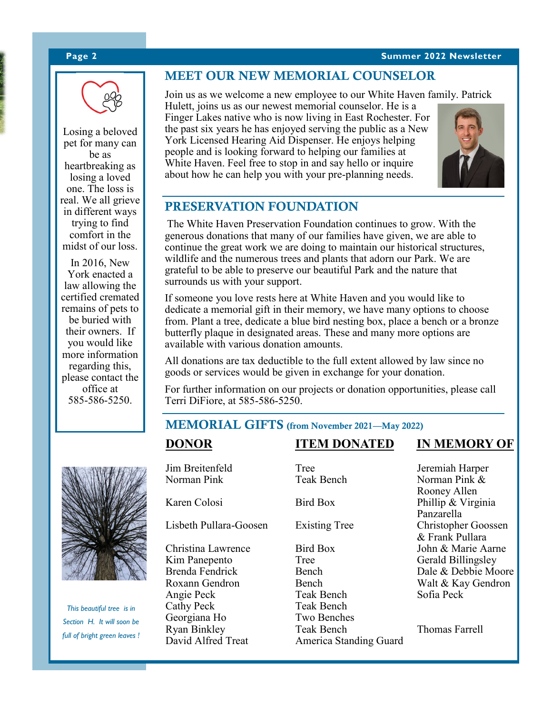#### **Page 2 Summer 2022 Newsletter**





Losing a beloved pet for many can be as heartbreaking as losing a loved one. The loss is real. We all grieve in different ways trying to find comfort in the midst of our loss.

In 2016, New York enacted a law allowing the certified cremated remains of pets to be buried with their owners. If you would like more information regarding this, please contact the office at 585-586-5250.



Join us as we welcome a new employee to our White Haven family. Patrick

Hulett, joins us as our newest memorial counselor. He is a Finger Lakes native who is now living in East Rochester. For the past six years he has enjoyed serving the public as a New York Licensed Hearing Aid Dispenser. He enjoys helping people and is looking forward to helping our families at White Haven. Feel free to stop in and say hello or inquire about how he can help you with your pre-planning needs.



# PRESERVATION FOUNDATION

The White Haven Preservation Foundation continues to grow. With the generous donations that many of our families have given, we are able to continue the great work we are doing to maintain our historical structures, wildlife and the numerous trees and plants that adorn our Park. We are grateful to be able to preserve our beautiful Park and the nature that surrounds us with your support.

If someone you love rests here at White Haven and you would like to dedicate a memorial gift in their memory, we have many options to choose from. Plant a tree, dedicate a blue bird nesting box, place a bench or a bronze butterfly plaque in designated areas. These and many more options are available with various donation amounts.

All donations are tax deductible to the full extent allowed by law since no goods or services would be given in exchange for your donation.

For further information on our projects or donation opportunities, please call Terri DiFiore, at 585-586-5250.

## MEMORIAL GIFTS (from November 2021—May 2022)



*This beautiful tree is in Section H. It will soon be full of bright green leaves !* Norman Pink Teak Bench Norman Pink & Karen Colosi Bird Box Phillip & Virginia Lisbeth Pullara-Goosen Existing Tree Christina Lawrence Bird Box John & Marie Aarne Kim Panepento Tree Gerald Billingsley Roxann Gendron Bench Walt & Kay Gendron Angie Peck Teak Bench Sofia Peck Cathy Peck Teak Bench<br>
Georgiana Ho Two Benches Georgiana Ho Two Benche<br>
Ryan Binkley Teak Bench Ryan Binkley Teak Bench<br>
David Alfred Treat America Standing Guard<br>
America Standing Guard

Jim Breitenfeld Tree Tree Jeremiah Harper<br>
Norman Pink Teak Bench Norman Pink & America Standing Guard

**DONOR ITEM DONATED IN MEMORY OF**

 Rooney Allen Panzarella<br>Christopher Goossen & Frank Pullara Brenda Fendrick Bench Dale & Debbie Moore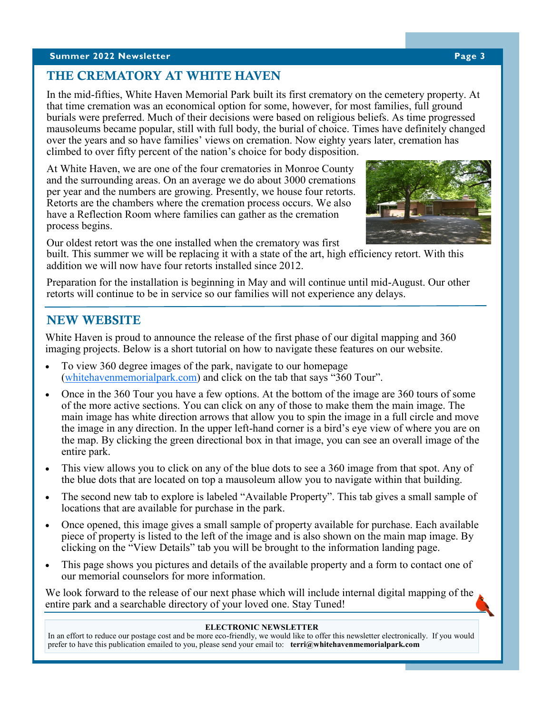### **Summer 2022 Newsletter Page 3**

# THE CREMATORY AT WHITE HAVEN

In the mid-fifties, White Haven Memorial Park built its first crematory on the cemetery property. At that time cremation was an economical option for some, however, for most families, full ground burials were preferred. Much of their decisions were based on religious beliefs. As time progressed mausoleums became popular, still with full body, the burial of choice. Times have definitely changed over the years and so have families' views on cremation. Now eighty years later, cremation has climbed to over fifty percent of the nation's choice for body disposition.

At White Haven, we are one of the four crematories in Monroe County and the surrounding areas. On an average we do about 3000 cremations per year and the numbers are growing. Presently, we house four retorts. Retorts are the chambers where the cremation process occurs. We also have a Reflection Room where families can gather as the cremation process begins.



built. This summer we will be replacing it with a state of the art, high efficiency retort. With this addition we will now have four retorts installed since 2012.

Preparation for the installation is beginning in May and will continue until mid-August. Our other retorts will continue to be in service so our families will not experience any delays.

## NEW WEBSITE

White Haven is proud to announce the release of the first phase of our digital mapping and 360 imaging projects. Below is a short tutorial on how to navigate these features on our website.

- To view 360 degree images of the park, navigate to our homepage [\(whitehavenmemorialpark.com\)](http://www.whitehavenmemorialpark.com) and click on the tab that says "360 Tour".
- Once in the 360 Tour you have a few options. At the bottom of the image are 360 tours of some of the more active sections. You can click on any of those to make them the main image. The main image has white direction arrows that allow you to spin the image in a full circle and move the image in any direction. In the upper left-hand corner is a bird's eye view of where you are on the map. By clicking the green directional box in that image, you can see an overall image of the entire park.
- This view allows you to click on any of the blue dots to see a 360 image from that spot. Any of the blue dots that are located on top a mausoleum allow you to navigate within that building.
- The second new tab to explore is labeled "Available Property". This tab gives a small sample of locations that are available for purchase in the park.
- Once opened, this image gives a small sample of property available for purchase. Each available piece of property is listed to the left of the image and is also shown on the main map image. By clicking on the "View Details" tab you will be brought to the information landing page.
- This page shows you pictures and details of the available property and a form to contact one of our memorial counselors for more information.

We look forward to the release of our next phase which will include internal digital mapping of the entire park and a searchable directory of your loved one. Stay Tuned!

#### **ELECTRONIC NEWSLETTER**

In an effort to reduce our postage cost and be more eco-friendly, we would like to offer this newsletter electronically. If you would prefer to have this publication emailed to you, please send your email to: **terri@whitehavenmemorialpark.com**